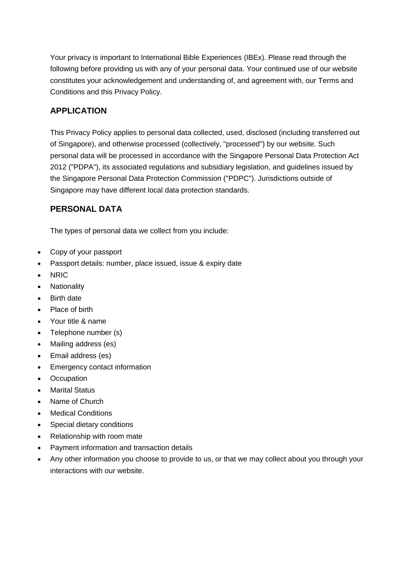Your privacy is important to International Bible Experiences (IBEx). Please read through the following before providing us with any of your personal data. Your continued use of our website constitutes your acknowledgement and understanding of, and agreement with, our Terms and Conditions and this Privacy Policy.

#### **APPLICATION**

This Privacy Policy applies to personal data collected, used, disclosed (including transferred out of Singapore), and otherwise processed (collectively, "processed") by our website. Such personal data will be processed in accordance with the Singapore Personal Data Protection Act 2012 ("PDPA"), its associated regulations and subsidiary legislation, and guidelines issued by the Singapore Personal Data Protection Commission ("PDPC"). Jurisdictions outside of Singapore may have different local data protection standards.

#### **PERSONAL DATA**

The types of personal data we collect from you include:

- Copy of your passport
- Passport details: number, place issued, issue & expiry date
- NRIC
- Nationality
- Birth date
- Place of birth
- Your title & name
- Telephone number (s)
- Mailing address (es)
- Email address (es)
- Emergency contact information
- Occupation
- Marital Status
- Name of Church
- Medical Conditions
- Special dietary conditions
- Relationship with room mate
- Payment information and transaction details
- Any other information you choose to provide to us, or that we may collect about you through your interactions with our website.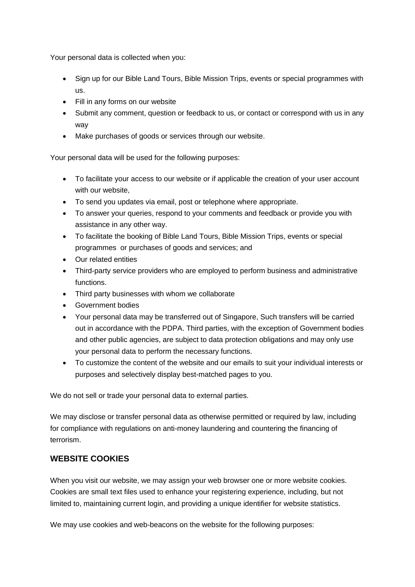Your personal data is collected when you:

- Sign up for our Bible Land Tours, Bible Mission Trips, events or special programmes with us.
- Fill in any forms on our website
- Submit any comment, question or feedback to us, or contact or correspond with us in any way
- Make purchases of goods or services through our website.

Your personal data will be used for the following purposes:

- To facilitate your access to our website or if applicable the creation of your user account with our website,
- To send you updates via email, post or telephone where appropriate.
- To answer your queries, respond to your comments and feedback or provide you with assistance in any other way.
- To facilitate the booking of Bible Land Tours, Bible Mission Trips, events or special programmes or purchases of goods and services; and
- Our related entities
- Third-party service providers who are employed to perform business and administrative functions.
- Third party businesses with whom we collaborate
- Government bodies
- Your personal data may be transferred out of Singapore, Such transfers will be carried out in accordance with the PDPA. Third parties, with the exception of Government bodies and other public agencies, are subject to data protection obligations and may only use your personal data to perform the necessary functions.
- To customize the content of the website and our emails to suit your individual interests or purposes and selectively display best-matched pages to you.

We do not sell or trade your personal data to external parties.

We may disclose or transfer personal data as otherwise permitted or required by law, including for compliance with regulations on anti-money laundering and countering the financing of terrorism.

#### **WEBSITE COOKIES**

When you visit our website, we may assign your web browser one or more website cookies. Cookies are small text files used to enhance your registering experience, including, but not limited to, maintaining current login, and providing a unique identifier for website statistics.

We may use cookies and web-beacons on the website for the following purposes: